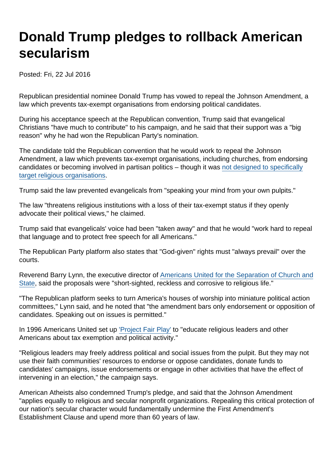## Donald Trump pledges to rollback American secularism

Posted: Fri, 22 Jul 2016

Republican presidential nominee Donald Trump has vowed to repeal the Johnson Amendment, a law which prevents tax-exempt organisations from endorsing political candidates.

During his acceptance speech at the Republican convention, Trump said that evangelical Christians "have much to contribute" to his campaign, and he said that their support was a "big reason" why he had won the Republican Party's nomination.

The candidate told the Republican convention that he would work to repeal the Johnson Amendment, a law which prevents tax-exempt organisations, including churches, from endorsing candidates or becoming involved in partisan politics – though it was [not designed to specifically](http://www.politifact.com/truth-o-meter/statements/2016/jul/22/donald-trump/donald-trump-correct-lyndon-johnson-passed-legisla/) [target religious organisations](http://www.politifact.com/truth-o-meter/statements/2016/jul/22/donald-trump/donald-trump-correct-lyndon-johnson-passed-legisla/).

Trump said the law prevented evangelicals from "speaking your mind from your own pulpits."

The law "threatens religious institutions with a loss of their tax-exempt status if they openly advocate their political views," he claimed.

Trump said that evangelicals' voice had been "taken away" and that he would "work hard to repeal that language and to protect free speech for all Americans."

The Republican Party platform also states that "God-given" rights must "always prevail" over the courts.

Reverend Barry Lynn, the executive director of [Americans United for the Separation of Church and](https://www.au.org/media/press-releases/gop-call-to-repeal-ban-on-church-politicking-is-reckless-and-corrosive-to) [State](https://www.au.org/media/press-releases/gop-call-to-repeal-ban-on-church-politicking-is-reckless-and-corrosive-to), said the proposals were "short-sighted, reckless and corrosive to religious life."

"The Republican platform seeks to turn America's houses of worship into miniature political action committees," Lynn said, and he noted that "the amendment bars only endorsement or opposition of candidates. Speaking out on issues is permitted."

In 1996 Americans United set up ['Project Fair Play'](http://projectfairplay.org/) to "educate religious leaders and other Americans about tax exemption and political activity."

"Religious leaders may freely address political and social issues from the pulpit. But they may not use their faith communities' resources to endorse or oppose candidates, donate funds to candidates' campaigns, issue endorsements or engage in other activities that have the effect of intervening in an election," the campaign says.

American Atheists also condemned Trump's pledge, and said that the Johnson Amendment "applies equally to religious and secular nonprofit organizations. Repealing this critical protection of our nation's secular character would fundamentally undermine the First Amendment's Establishment Clause and upend more than 60 years of law.